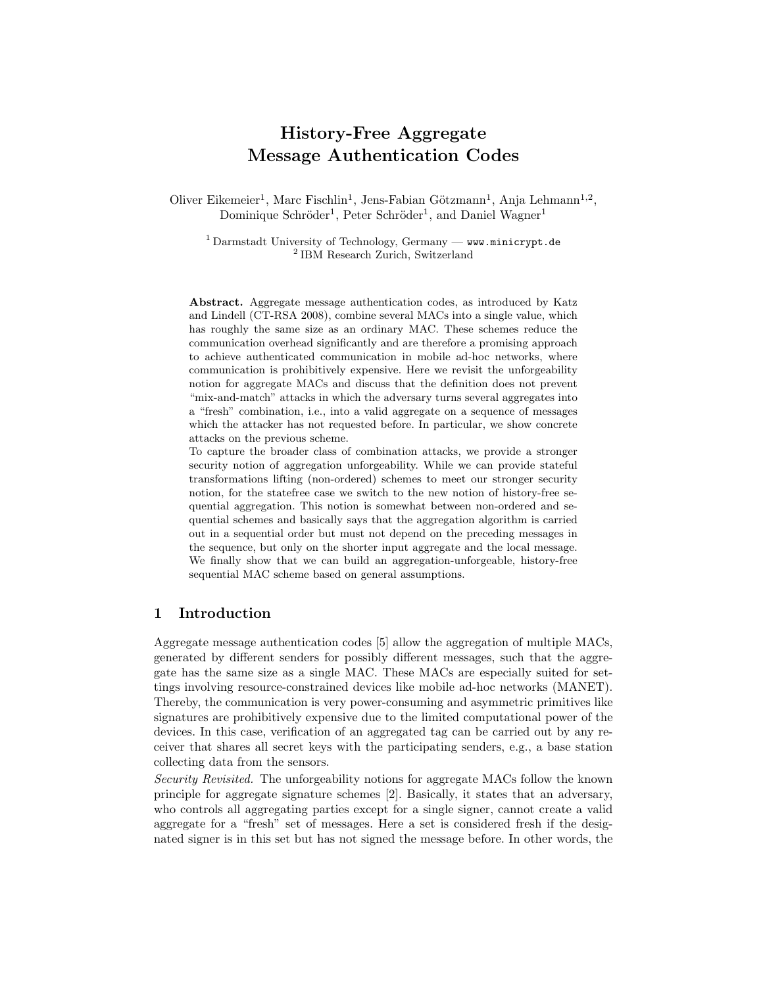# History-Free Aggregate Message Authentication Codes

Oliver Eikemeier<sup>1</sup>, Marc Fischlin<sup>1</sup>, Jens-Fabian Götzmann<sup>1</sup>, Anja Lehmann<sup>1,2</sup>, Dominique Schröder<sup>1</sup>, Peter Schröder<sup>1</sup>, and Daniel Wagner<sup>1</sup>

<sup>1</sup> Darmstadt University of Technology, Germany — www.minicrypt.de 2 IBM Research Zurich, Switzerland

Abstract. Aggregate message authentication codes, as introduced by Katz and Lindell (CT-RSA 2008), combine several MACs into a single value, which has roughly the same size as an ordinary MAC. These schemes reduce the communication overhead significantly and are therefore a promising approach to achieve authenticated communication in mobile ad-hoc networks, where communication is prohibitively expensive. Here we revisit the unforgeability notion for aggregate MACs and discuss that the definition does not prevent "mix-and-match" attacks in which the adversary turns several aggregates into a "fresh" combination, i.e., into a valid aggregate on a sequence of messages which the attacker has not requested before. In particular, we show concrete attacks on the previous scheme.

To capture the broader class of combination attacks, we provide a stronger security notion of aggregation unforgeability. While we can provide stateful transformations lifting (non-ordered) schemes to meet our stronger security notion, for the statefree case we switch to the new notion of history-free sequential aggregation. This notion is somewhat between non-ordered and sequential schemes and basically says that the aggregation algorithm is carried out in a sequential order but must not depend on the preceding messages in the sequence, but only on the shorter input aggregate and the local message. We finally show that we can build an aggregation-unforgeable, history-free sequential MAC scheme based on general assumptions.

## 1 Introduction

Aggregate message authentication codes [5] allow the aggregation of multiple MACs, generated by different senders for possibly different messages, such that the aggregate has the same size as a single MAC. These MACs are especially suited for settings involving resource-constrained devices like mobile ad-hoc networks (MANET). Thereby, the communication is very power-consuming and asymmetric primitives like signatures are prohibitively expensive due to the limited computational power of the devices. In this case, verification of an aggregated tag can be carried out by any receiver that shares all secret keys with the participating senders, e.g., a base station collecting data from the sensors.

Security Revisited. The unforgeability notions for aggregate MACs follow the known principle for aggregate signature schemes [2]. Basically, it states that an adversary, who controls all aggregating parties except for a single signer, cannot create a valid aggregate for a "fresh" set of messages. Here a set is considered fresh if the designated signer is in this set but has not signed the message before. In other words, the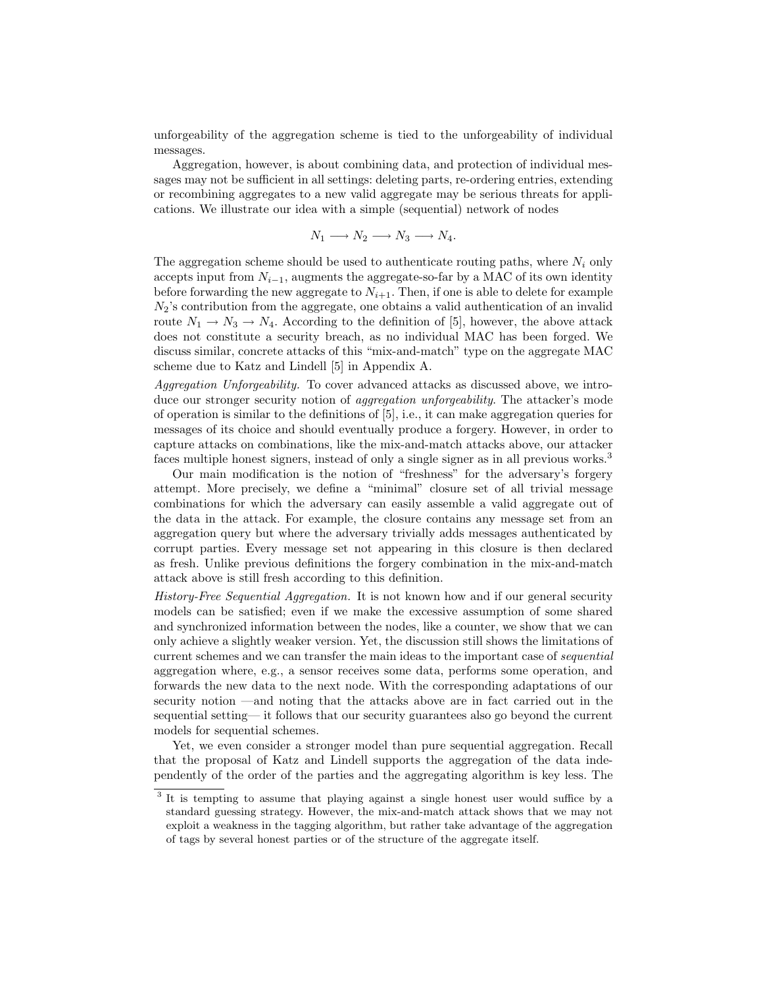unforgeability of the aggregation scheme is tied to the unforgeability of individual messages.

Aggregation, however, is about combining data, and protection of individual messages may not be sufficient in all settings: deleting parts, re-ordering entries, extending or recombining aggregates to a new valid aggregate may be serious threats for applications. We illustrate our idea with a simple (sequential) network of nodes

$$
N_1 \longrightarrow N_2 \longrightarrow N_3 \longrightarrow N_4.
$$

The aggregation scheme should be used to authenticate routing paths, where  $N_i$  only accepts input from  $N_{i-1}$ , augments the aggregate-so-far by a MAC of its own identity before forwarding the new aggregate to  $N_{i+1}$ . Then, if one is able to delete for example  $N_2$ 's contribution from the aggregate, one obtains a valid authentication of an invalid route  $N_1 \rightarrow N_3 \rightarrow N_4$ . According to the definition of [5], however, the above attack does not constitute a security breach, as no individual MAC has been forged. We discuss similar, concrete attacks of this "mix-and-match" type on the aggregate MAC scheme due to Katz and Lindell [5] in Appendix A.

Aggregation Unforgeability. To cover advanced attacks as discussed above, we introduce our stronger security notion of aggregation unforgeability. The attacker's mode of operation is similar to the definitions of [5], i.e., it can make aggregation queries for messages of its choice and should eventually produce a forgery. However, in order to capture attacks on combinations, like the mix-and-match attacks above, our attacker faces multiple honest signers, instead of only a single signer as in all previous works.<sup>3</sup>

Our main modification is the notion of "freshness" for the adversary's forgery attempt. More precisely, we define a "minimal" closure set of all trivial message combinations for which the adversary can easily assemble a valid aggregate out of the data in the attack. For example, the closure contains any message set from an aggregation query but where the adversary trivially adds messages authenticated by corrupt parties. Every message set not appearing in this closure is then declared as fresh. Unlike previous definitions the forgery combination in the mix-and-match attack above is still fresh according to this definition.

History-Free Sequential Aggregation. It is not known how and if our general security models can be satisfied; even if we make the excessive assumption of some shared and synchronized information between the nodes, like a counter, we show that we can only achieve a slightly weaker version. Yet, the discussion still shows the limitations of current schemes and we can transfer the main ideas to the important case of sequential aggregation where, e.g., a sensor receives some data, performs some operation, and forwards the new data to the next node. With the corresponding adaptations of our security notion —and noting that the attacks above are in fact carried out in the sequential setting— it follows that our security guarantees also go beyond the current models for sequential schemes.

Yet, we even consider a stronger model than pure sequential aggregation. Recall that the proposal of Katz and Lindell supports the aggregation of the data independently of the order of the parties and the aggregating algorithm is key less. The

<sup>&</sup>lt;sup>3</sup> It is tempting to assume that playing against a single honest user would suffice by a standard guessing strategy. However, the mix-and-match attack shows that we may not exploit a weakness in the tagging algorithm, but rather take advantage of the aggregation of tags by several honest parties or of the structure of the aggregate itself.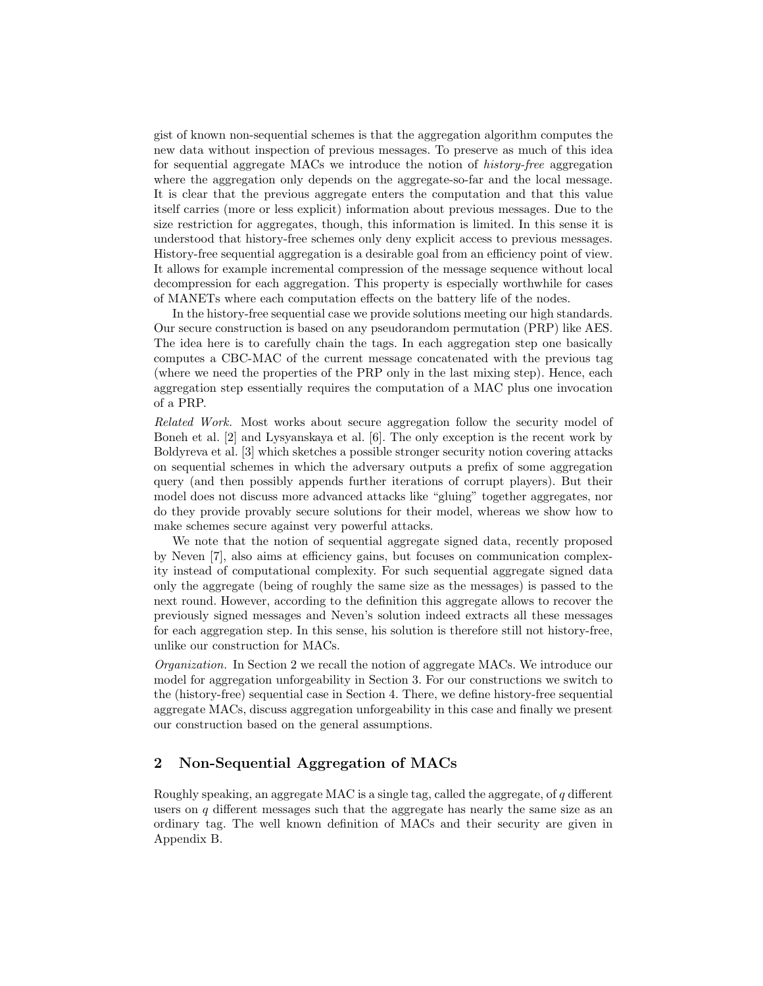gist of known non-sequential schemes is that the aggregation algorithm computes the new data without inspection of previous messages. To preserve as much of this idea for sequential aggregate MACs we introduce the notion of history-free aggregation where the aggregation only depends on the aggregate-so-far and the local message. It is clear that the previous aggregate enters the computation and that this value itself carries (more or less explicit) information about previous messages. Due to the size restriction for aggregates, though, this information is limited. In this sense it is understood that history-free schemes only deny explicit access to previous messages. History-free sequential aggregation is a desirable goal from an efficiency point of view. It allows for example incremental compression of the message sequence without local decompression for each aggregation. This property is especially worthwhile for cases of MANETs where each computation effects on the battery life of the nodes.

In the history-free sequential case we provide solutions meeting our high standards. Our secure construction is based on any pseudorandom permutation (PRP) like AES. The idea here is to carefully chain the tags. In each aggregation step one basically computes a CBC-MAC of the current message concatenated with the previous tag (where we need the properties of the PRP only in the last mixing step). Hence, each aggregation step essentially requires the computation of a MAC plus one invocation of a PRP.

Related Work. Most works about secure aggregation follow the security model of Boneh et al. [2] and Lysyanskaya et al. [6]. The only exception is the recent work by Boldyreva et al. [3] which sketches a possible stronger security notion covering attacks on sequential schemes in which the adversary outputs a prefix of some aggregation query (and then possibly appends further iterations of corrupt players). But their model does not discuss more advanced attacks like "gluing" together aggregates, nor do they provide provably secure solutions for their model, whereas we show how to make schemes secure against very powerful attacks.

We note that the notion of sequential aggregate signed data, recently proposed by Neven [7], also aims at efficiency gains, but focuses on communication complexity instead of computational complexity. For such sequential aggregate signed data only the aggregate (being of roughly the same size as the messages) is passed to the next round. However, according to the definition this aggregate allows to recover the previously signed messages and Neven's solution indeed extracts all these messages for each aggregation step. In this sense, his solution is therefore still not history-free, unlike our construction for MACs.

Organization. In Section 2 we recall the notion of aggregate MACs. We introduce our model for aggregation unforgeability in Section 3. For our constructions we switch to the (history-free) sequential case in Section 4. There, we define history-free sequential aggregate MACs, discuss aggregation unforgeability in this case and finally we present our construction based on the general assumptions.

## 2 Non-Sequential Aggregation of MACs

Roughly speaking, an aggregate MAC is a single tag, called the aggregate, of q different users on  $q$  different messages such that the aggregate has nearly the same size as an ordinary tag. The well known definition of MACs and their security are given in Appendix B.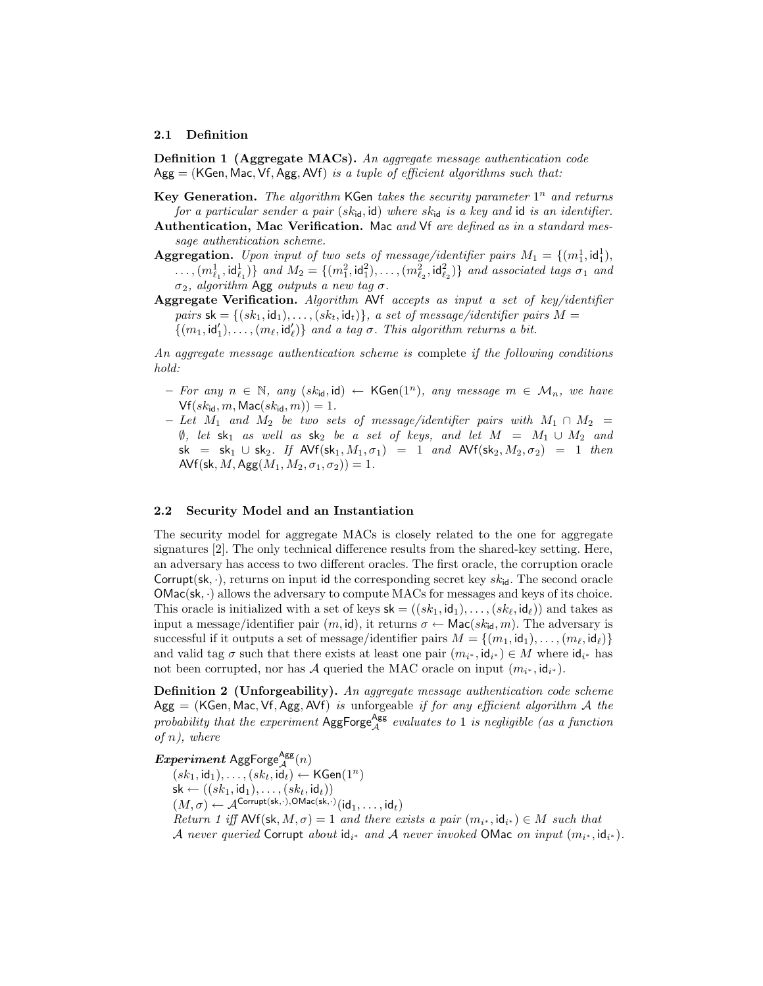#### 2.1 Definition

Definition 1 (Aggregate MACs). An aggregate message authentication code  $Agg = (KGen, Mac, Vf, Agg, AVf)$  is a tuple of efficient algorithms such that:

- Key Generation. The algorithm KGen takes the security parameter  $1^n$  and returns for a particular sender a pair  $(sk_{id}, id)$  where  $sk_{id}$  is a key and id is an identifier.
- Authentication, Mac Verification. Mac and Vf are defined as in a standard message authentication scheme.
- Aggregation. Upon input of two sets of message/identifier pairs  $M_1 = \{(m_1^1, \text{id}_1^1),$  $\ldots, (m_{\ell_1}^1, \mathrm{id}_{\ell_1}^1) \}$  and  $M_2 = \{ (m_1^2, \mathrm{id}_1^2), \ldots, (m_{\ell_2}^2, \mathrm{id}_{\ell_2}^2) \}$  and associated tags  $\sigma_1$  and σ2, algorithm Agg outputs a new tag σ.
- Aggregate Verification. Algorithm AVf accepts as input a set of key/identifier pairs  $sk = \{(sk_1, id_1), \ldots, (sk_t, id_t)\}\$ , a set of message/identifier pairs  $M =$  $\{(m_1, id'_1), \ldots, (m_\ell, id'_\ell)\}\$ and a tag  $\sigma$ . This algorithm returns a bit.

An aggregate message authentication scheme is complete if the following conditions hold:

- For any  $n \in \mathbb{N}$ , any  $(sk_{\mathsf{id}}, \mathsf{id}) \leftarrow \mathsf{KGen}(1^n)$ , any message  $m \in \mathcal{M}_n$ , we have  $Vf(sk_{\mathsf{id}}, m, \mathsf{Mac}(sk_{\mathsf{id}}, m)) = 1.$
- $-$  Let  $M_1$  and  $M_2$  be two sets of message/identifier pairs with  $M_1 \cap M_2$  =  $0, let$  sk<sub>1</sub> as well as sk<sub>2</sub> be a set of keys, and let  $M = M_1 ∪ M_2$  and  $sk = sk_1 \cup sk_2$ . If  $AVf(sk_1, M_1, \sigma_1) = 1$  and  $AVf(sk_2, M_2, \sigma_2) = 1$  then AVf(sk, M, Agg( $M_1, M_2, \sigma_1, \sigma_2$ )) = 1.

#### 2.2 Security Model and an Instantiation

The security model for aggregate MACs is closely related to the one for aggregate signatures [2]. The only technical difference results from the shared-key setting. Here, an adversary has access to two different oracles. The first oracle, the corruption oracle Corrupt(sk,  $\cdot$ ), returns on input id the corresponding secret key  $sk_{id}$ . The second oracle  $OMac(sk, \cdot)$  allows the adversary to compute MACs for messages and keys of its choice. This oracle is initialized with a set of keys  $sk = ((sk_1, id_1), \ldots, (sk_\ell, id_\ell))$  and takes as input a message/identifier pair  $(m, id)$ , it returns  $\sigma \leftarrow \text{Mac}(sk_{id}, m)$ . The adversary is successful if it outputs a set of message/identifier pairs  $M = \{(m_1, id_1), \ldots, (m_\ell, id_\ell)\}\$ and valid tag  $\sigma$  such that there exists at least one pair  $(m_{i^*}, \mathrm{id}_{i^*}) \in M$  where  $\mathrm{id}_{i^*}$  has not been corrupted, nor has A queried the MAC oracle on input  $(m_{i^*}, \mathsf{id}_{i^*})$ .

Definition 2 (Unforgeability). An aggregate message authentication code scheme  $Agg = (KGen, Mac, Vf, Agg, AVf)$  is unforgeable if for any efficient algorithm A the probability that the experiment  $\mathsf{AggForge}_{\mathcal{A}}^{\mathsf{Agg}}$  evaluates to 1 is negligible (as a function of  $n$ ), where

 $\boldsymbol{Experiment}$  AggForge ${}^{\mathsf{Agg}}_{\mathcal{A}}(n)$ 

 $(sk_1, id_1), \ldots, (sk_t, id_t) \leftarrow {\sf KGen}(1^n)$  $\mathsf{sk} \leftarrow \left((sk_1, \mathsf{id}_1), \dots, (sk_t, \mathsf{id}_t)\right)$  $(M,\sigma)\leftarrow \mathcal{A}^{\mathsf{Corrupt}(\mathsf{sk},\cdot),\mathsf{OMac}(\mathsf{sk},\cdot)}(\mathsf{id}_1,\ldots,\mathsf{id}_t)$ Return 1 iff  $\mathsf{AVf}(\mathsf{sk}, M, \sigma) = 1$  and there exists a pair  $(m_{i^*}, \mathsf{id}_{i^*}) \in M$  such that A never queried Corrupt about  $id_{i^*}$  and A never invoked OMac on input  $(m_{i^*}, id_{i^*})$ .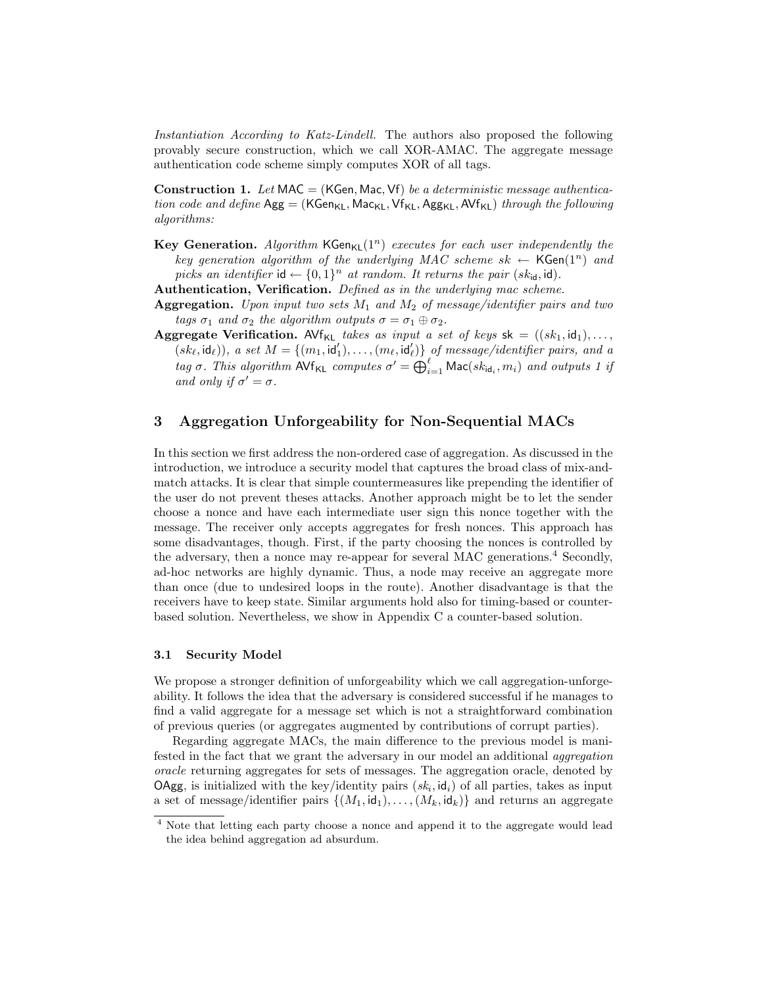Instantiation According to Katz-Lindell. The authors also proposed the following provably secure construction, which we call XOR-AMAC. The aggregate message authentication code scheme simply computes XOR of all tags.

Construction 1. Let MAC = (KGen, Mac, Vf) be a deterministic message authentication code and define  $\text{Agg} = (\text{KGen}_{\text{KL}}, \text{Mac}_{\text{KL}}, \text{Vf}_{\text{KL}}, \text{Agg}_{\text{KL}}, \text{AVf}_{\text{KL}})$  through the following algorithms:

Key Generation. Algorithm KGen<sub>KL</sub> $(1^n)$  executes for each user independently the key generation algorithm of the underlying MAC scheme sk  $\leftarrow$  KGen(1<sup>n</sup>) and picks an identifier  $\mathsf{id} \leftarrow \{0,1\}^n$  at random. It returns the pair  $(\mathsf{sk}_{\mathsf{id}}, \mathsf{id})$ .

Authentication, Verification. Defined as in the underlying mac scheme.

- **Aggregation.** Upon input two sets  $M_1$  and  $M_2$  of message/identifier pairs and two tags  $\sigma_1$  and  $\sigma_2$  the algorithm outputs  $\sigma = \sigma_1 \oplus \sigma_2$ .
- Aggregate Verification. AVf<sub>KL</sub> takes as input a set of keys  $sk = ((sk_1, id_1), \ldots,$  $(sk_{\ell},\mathsf{id}_{\ell})$ ), a set  $M = \{(m_1,\mathsf{id}'_1),\ldots,(m_{\ell},\mathsf{id}'_{\ell})\}$  of message/identifier pairs, and a tag  $\sigma$ . This algorithm  $\mathsf{AVf}_{\mathsf{KL}}$  computes  $\sigma' = \bigoplus_{i=1}^{\ell} \mathsf{Mac}(sk_{\mathsf{id}_i}, m_i)$  and outputs 1 if and only if  $\sigma' = \sigma$ .

# 3 Aggregation Unforgeability for Non-Sequential MACs

In this section we first address the non-ordered case of aggregation. As discussed in the introduction, we introduce a security model that captures the broad class of mix-andmatch attacks. It is clear that simple countermeasures like prepending the identifier of the user do not prevent theses attacks. Another approach might be to let the sender choose a nonce and have each intermediate user sign this nonce together with the message. The receiver only accepts aggregates for fresh nonces. This approach has some disadvantages, though. First, if the party choosing the nonces is controlled by the adversary, then a nonce may re-appear for several MAC generations.<sup>4</sup> Secondly, ad-hoc networks are highly dynamic. Thus, a node may receive an aggregate more than once (due to undesired loops in the route). Another disadvantage is that the receivers have to keep state. Similar arguments hold also for timing-based or counterbased solution. Nevertheless, we show in Appendix C a counter-based solution.

#### 3.1 Security Model

We propose a stronger definition of unforgeability which we call aggregation-unforgeability. It follows the idea that the adversary is considered successful if he manages to find a valid aggregate for a message set which is not a straightforward combination of previous queries (or aggregates augmented by contributions of corrupt parties).

Regarding aggregate MACs, the main difference to the previous model is manifested in the fact that we grant the adversary in our model an additional aggregation oracle returning aggregates for sets of messages. The aggregation oracle, denoted by OAgg, is initialized with the key/identity pairs  $(sk_i, id_i)$  of all parties, takes as input a set of message/identifier pairs  $\{(M_1, id_1), \ldots, (M_k, id_k)\}\$  and returns an aggregate

<sup>&</sup>lt;sup>4</sup> Note that letting each party choose a nonce and append it to the aggregate would lead the idea behind aggregation ad absurdum.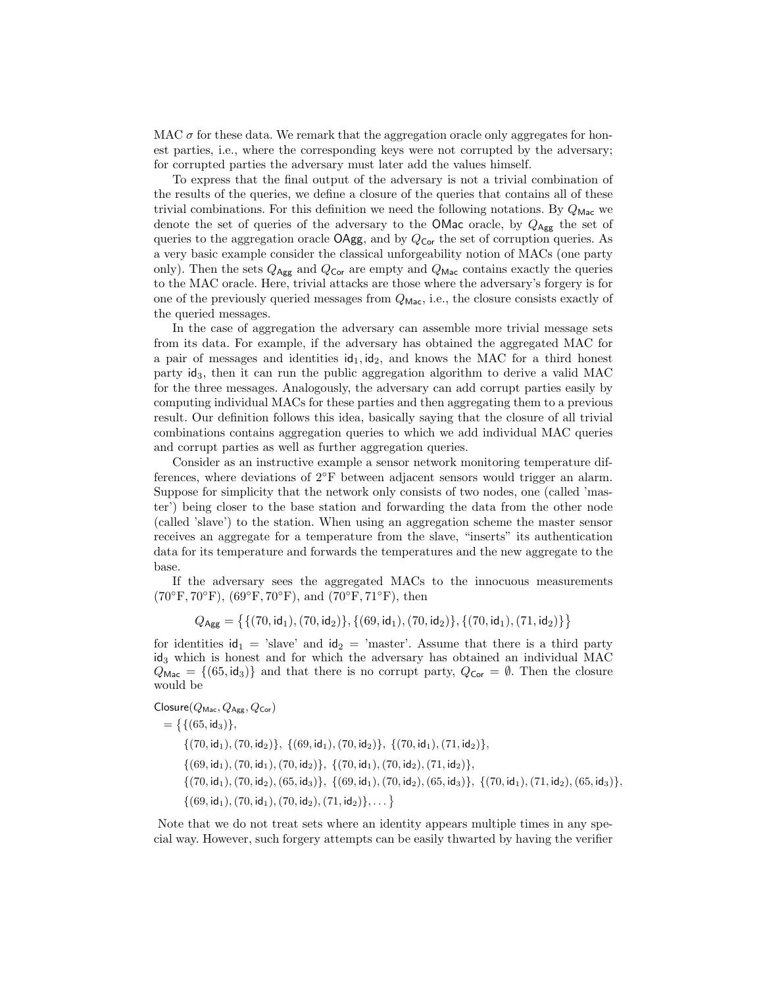MAC  $\sigma$  for these data. We remark that the aggregation oracle only aggregates for honest parties, i.e., where the corresponding keys were not corrupted by the adversary; for corrupted parties the adversary must later add the values himself.

To express that the final output of the adversary is not a trivial combination of the results of the queries, we define a closure of the queries that contains all of these trivial combinations. For this definition we need the following notations. By  $Q_{\text{Mac}}$  we denote the set of queries of the adversary to the OMac oracle, by  $Q_{\text{Agg}}$  the set of queries to the aggregation oracle  $OAgg$ , and by  $Q_{Cor}$  the set of corruption queries. As a very basic example consider the classical unforgeability notion of MACs (one party only). Then the sets  $Q_{\text{Agg}}$  and  $Q_{\text{Cor}}$  are empty and  $Q_{\text{Mac}}$  contains exactly the queries to the MAC oracle. Here, trivial attacks are those where the adversary's forgery is for one of the previously queried messages from  $Q_{\text{Mac}}$ , i.e., the closure consists exactly of the queried messages.

In the case of aggregation the adversary can assemble more trivial message sets from its data. For example, if the adversary has obtained the aggregated MAC for a pair of messages and identities  $id_1, id_2$ , and knows the MAC for a third honest party id3, then it can run the public aggregation algorithm to derive a valid MAC for the three messages. Analogously, the adversary can add corrupt parties easily by computing individual MACs for these parties and then aggregating them to a previous result. Our definition follows this idea, basically saying that the closure of all trivial combinations contains aggregation queries to which we add individual MAC queries and corrupt parties as well as further aggregation queries.

Consider as an instructive example a sensor network monitoring temperature differences, where deviations of 2◦F between adjacent sensors would trigger an alarm. Suppose for simplicity that the network only consists of two nodes, one (called 'master') being closer to the base station and forwarding the data from the other node (called 'slave') to the station. When using an aggregation scheme the master sensor receives an aggregate for a temperature from the slave, "inserts" its authentication data for its temperature and forwards the temperatures and the new aggregate to the base.

If the adversary sees the aggregated MACs to the innocuous measurements  $(70°F, 70°F), (69°F, 70°F), and (70°F, 71°F), then$ 

 $Q_{\mathsf{Agg}} = \big\{ \{ (70, \mathsf{id}_1), (70, \mathsf{id}_2) \}, \{ (69, \mathsf{id}_1), (70, \mathsf{id}_2) \}, \{ (70, \mathsf{id}_1), (71, \mathsf{id}_2) \} \big\}$ 

for identities  $\mathsf{id}_1$  = 'slave' and  $\mathsf{id}_2$  = 'master'. Assume that there is a third party id<sup>3</sup> which is honest and for which the adversary has obtained an individual MAC  $Q_{\text{Mac}} = \{(65, \text{id}_3)\}\$ and that there is no corrupt party,  $Q_{\text{Cor}} = \emptyset$ . Then the closure would be

 $\mathsf{Closure}(Q_{\mathsf{Mac}}, Q_{\mathsf{Age}}, Q_{\mathsf{Cor}})$ 

 $= \{ \{ (65, id_3) \}, \}$  $\{(70, id_1), (70, id_2)\}, \{(69, id_1), (70, id_2)\}, \{(70, id_1), (71, id_2)\},$  $\{(69, id_1), (70, id_1), (70, id_2)\}, \{(70, id_1), (70, id_2), (71, id_2)\},\$  $\{(70, id_1), (70, id_2), (65, id_3)\}, \{(69, id_1), (70, id_2), (65, id_3)\}, \{(70, id_1), (71, id_2), (65, id_3)\},$  $\{(69, id_1), (70, id_1), (70, id_2), (71, id_2)\}, \dots\}$ 

Note that we do not treat sets where an identity appears multiple times in any special way. However, such forgery attempts can be easily thwarted by having the verifier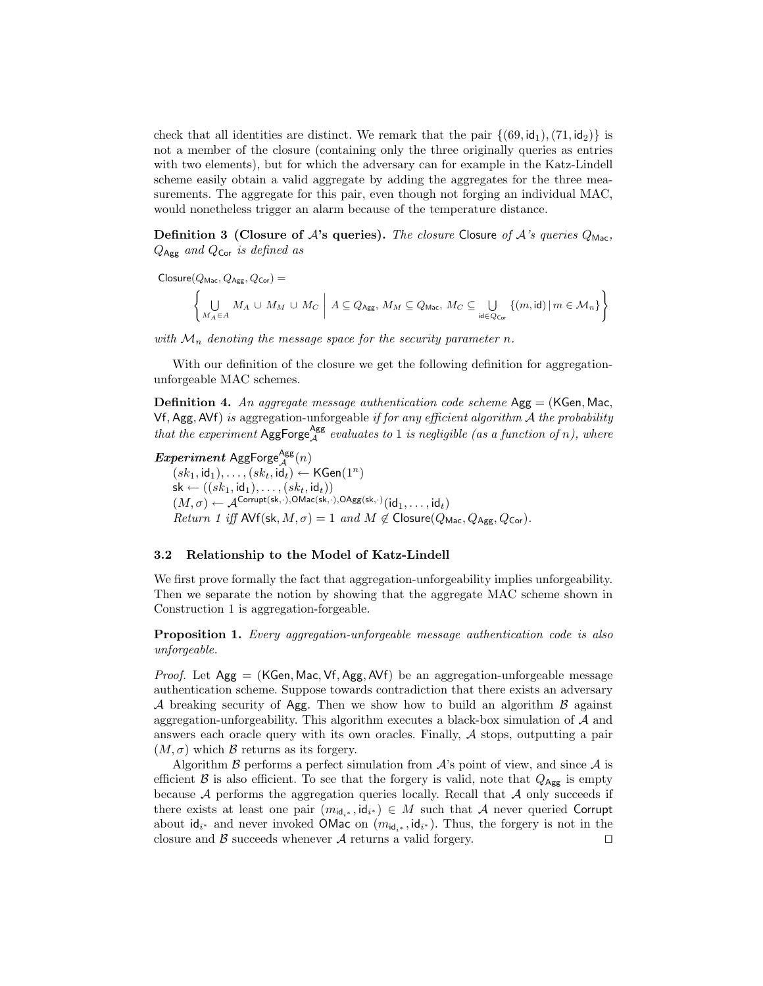check that all identities are distinct. We remark that the pair  $\{(69, id_1), (71, id_2)\}\$ is not a member of the closure (containing only the three originally queries as entries with two elements), but for which the adversary can for example in the Katz-Lindell scheme easily obtain a valid aggregate by adding the aggregates for the three measurements. The aggregate for this pair, even though not forging an individual MAC, would nonetheless trigger an alarm because of the temperature distance.

**Definition 3 (Closure of A's queries).** The closure Closure of A's queries  $Q_{\text{Mac}}$ ,  $Q_{\text{Agg}}$  and  $Q_{\text{Cor}}$  is defined as

 $\mathsf{Closure}(Q_{\mathsf{Mac}},Q_{\mathsf{Agg}},Q_{\mathsf{Cor}}) = % \begin{cases} \text{\textsf{Cosine}}(Q_{\mathsf{Mac}},Q_{\mathsf{Agg}},Q_{\mathsf{Cor}}) \leq \delta \end{cases} % \text{\textsf{Cosine}}(Q_{\mathsf{Mac}},Q_{\mathsf{Ac}}) = % \begin{cases} \text{\textsf{Cosine}}(Q_{\mathsf{Mac}},Q_{\mathsf{Ac}}) \leq \delta \end{cases} % \text{\textsf{Cosine}}(Q_{\mathsf{Cat}}) \leq \delta \end{cases} % \text{\textsf{Cosine}}(Q_{\mathsf{Cat}}) \leq \delta \end{cases} % \text$  $\sqrt{2}$ U  $\bigcup_{M_A \in A} M_A \cup M_M \cup M_C$  $A \subseteq Q_{\mathsf{Agg}}, M_M \subseteq Q_{\mathsf{Mac}}, M_C \subseteq \cup$  $\bigcup_{\mathsf{id}\in Q_{\mathsf{Cor}}} \left\{(m,\mathsf{id})\,|\, m\in\mathcal{M}_n\right\}\Bigg\}$ 

with  $\mathcal{M}_n$  denoting the message space for the security parameter n.

With our definition of the closure we get the following definition for aggregationunforgeable MAC schemes.

Definition 4. An aggregate message authentication code scheme Agg = (KGen, Mac,  $Vf$ , Agg, AVf) is aggregation-unforgeable if for any efficient algorithm A the probability that the experiment  $\mathsf{AggForge}_{\mathcal{A}}^{\mathsf{Agg}}$  evaluates to 1 is negligible (as a function of n), where

 $\boldsymbol{Experiment}$  AggForge $^{\mathsf{Agg}}_{\mathcal{A}}(n)$ 

 $(\mathit{sk}_1, \mathsf{id}_1), \ldots, (\mathit{sk}_t, \mathsf{id}_t) \leftarrow \mathsf{KGen}(1^n)$  $\mathsf{sk} \leftarrow ((sk_1, \mathsf{id}_1), \dots, (sk_t, \mathsf{id}_t))$  $(M, \sigma) \leftarrow \mathcal{A}^{\mathsf{Corrupt}(\mathsf{sk}, \cdot), \mathsf{OMac}(\mathsf{sk}, \cdot), \mathsf{OAgg}(\mathsf{sk}, \cdot)}(\mathsf{id}_1, \dots, \mathsf{id}_t)$ Return 1 iff AVf(sk,  $M, \sigma$ ) = 1 and  $M \notin \mathsf{Closure}(Q_{\mathsf{Mac}}, Q_{\mathsf{Age}}, Q_{\mathsf{Cor}})$ .

#### 3.2 Relationship to the Model of Katz-Lindell

We first prove formally the fact that aggregation-unforgeability implies unforgeability. Then we separate the notion by showing that the aggregate MAC scheme shown in Construction 1 is aggregation-forgeable.

Proposition 1. Every aggregation-unforgeable message authentication code is also unforgeable.

*Proof.* Let  $\text{Agg} = (\text{KGen}, \text{Mac}, \text{Vf}, \text{Agg}, \text{AVf})$  be an aggregation-unforgeable message authentication scheme. Suppose towards contradiction that there exists an adversary A breaking security of Agg. Then we show how to build an algorithm  $\beta$  against aggregation-unforgeability. This algorithm executes a black-box simulation of  $A$  and answers each oracle query with its own oracles. Finally,  $A$  stops, outputting a pair  $(M, \sigma)$  which  $\beta$  returns as its forgery.

Algorithm  $\beta$  performs a perfect simulation from  $\mathcal{A}$ 's point of view, and since  $\mathcal{A}$  is efficient  $\beta$  is also efficient. To see that the forgery is valid, note that  $Q_{\text{Agg}}$  is empty because  $A$  performs the aggregation queries locally. Recall that  $A$  only succeeds if there exists at least one pair  $(m_{id_{i^*}}, id_{i^*}) \in M$  such that A never queried Corrupt about  $\mathsf{id}_{i^*}$  and never invoked **OMac** on  $(m_{\mathsf{id}_{i^*}}, \mathsf{id}_{i^*})$ . Thus, the forgery is not in the closure and  $\beta$  succeeds whenever  $\mathcal A$  returns a valid forgery.  $\square$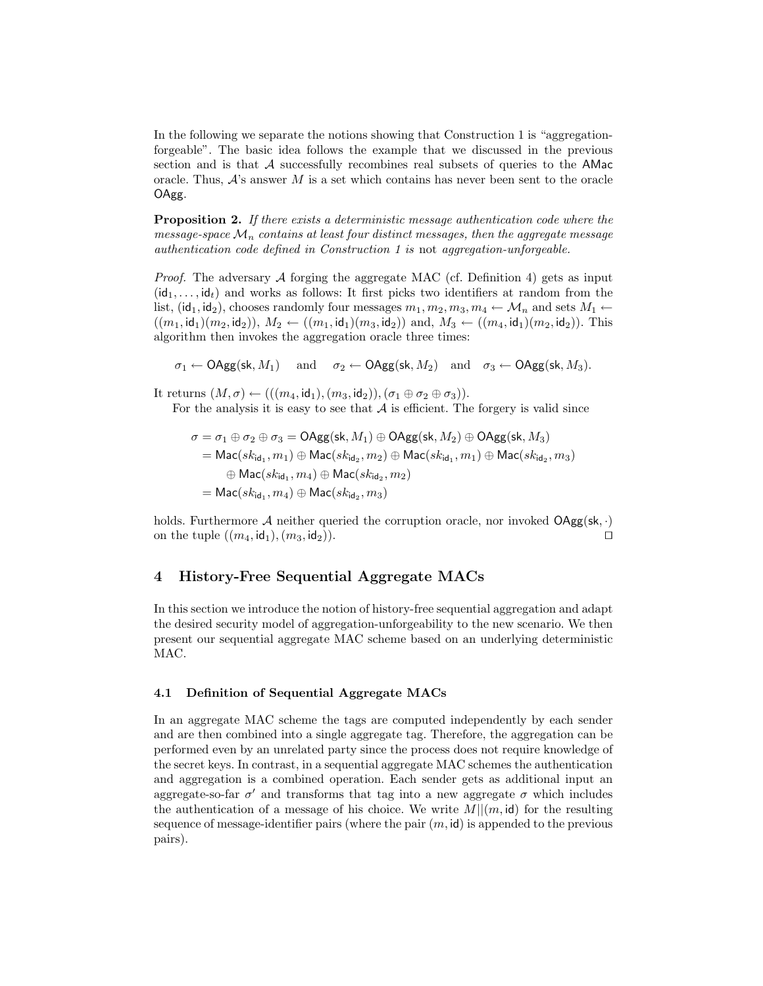In the following we separate the notions showing that Construction 1 is "aggregationforgeable". The basic idea follows the example that we discussed in the previous section and is that A successfully recombines real subsets of queries to the AMac oracle. Thus,  $\mathcal{A}$ 's answer M is a set which contains has never been sent to the oracle OAgg.

**Proposition 2.** If there exists a deterministic message authentication code where the message-space  $\mathcal{M}_n$  contains at least four distinct messages, then the aggregate message authentication code defined in Construction 1 is not aggregation-unforgeable.

*Proof.* The adversary  $\mathcal A$  forging the aggregate MAC (cf. Definition 4) gets as input  $(id_1, \ldots, id_t)$  and works as follows: It first picks two identifiers at random from the list, (id<sub>1</sub>, id<sub>2</sub>), chooses randomly four messages  $m_1, m_2, m_3, m_4 \leftarrow \mathcal{M}_n$  and sets  $M_1 \leftarrow$  $((m_1, id_1)(m_2, id_2)), M_2 \leftarrow ((m_1, id_1)(m_3, id_2))$  and,  $M_3 \leftarrow ((m_4, id_1)(m_2, id_2))$ . This algorithm then invokes the aggregation oracle three times:

 $\sigma_1 \leftarrow \mathsf{OAgg}(\mathsf{sk}, M_1)$  and  $\sigma_2 \leftarrow \mathsf{OAgg}(\mathsf{sk}, M_2)$  and  $\sigma_3 \leftarrow \mathsf{OAgg}(\mathsf{sk}, M_3)$ .

It returns  $(M, \sigma) \leftarrow (((m_4, \text{id}_1), (m_3, \text{id}_2)), (\sigma_1 \oplus \sigma_2 \oplus \sigma_3)).$ 

For the analysis it is easy to see that  $A$  is efficient. The forgery is valid since

$$
\begin{aligned} \sigma &= \sigma_1 \oplus \sigma_2 \oplus \sigma_3 = \mathsf{OAgg}(\mathsf{sk}, M_1) \oplus \mathsf{OAgg}(\mathsf{sk}, M_2) \oplus \mathsf{OAgg}(\mathsf{sk}, M_3) \\ &= \mathsf{Mac}(sk_{\mathsf{id}_1}, m_1) \oplus \mathsf{Mac}(sk_{\mathsf{id}_2}, m_2) \oplus \mathsf{Mac}(sk_{\mathsf{id}_1}, m_1) \oplus \mathsf{Mac}(sk_{\mathsf{id}_2}, m_3) \\ & \quad \oplus \mathsf{Mac}(sk_{\mathsf{id}_1}, m_4) \oplus \mathsf{Mac}(sk_{\mathsf{id}_2}, m_2) \\ &= \mathsf{Mac}(sk_{\mathsf{id}_1}, m_4) \oplus \mathsf{Mac}(sk_{\mathsf{id}_2}, m_3) \end{aligned}
$$

holds. Furthermore A neither queried the corruption oracle, nor invoked  $OAgg(s, \cdot)$ on the tuple  $((m_4, id_1), (m_3, id_2)).$ 

## 4 History-Free Sequential Aggregate MACs

In this section we introduce the notion of history-free sequential aggregation and adapt the desired security model of aggregation-unforgeability to the new scenario. We then present our sequential aggregate MAC scheme based on an underlying deterministic MAC.

#### 4.1 Definition of Sequential Aggregate MACs

In an aggregate MAC scheme the tags are computed independently by each sender and are then combined into a single aggregate tag. Therefore, the aggregation can be performed even by an unrelated party since the process does not require knowledge of the secret keys. In contrast, in a sequential aggregate MAC schemes the authentication and aggregation is a combined operation. Each sender gets as additional input an aggregate-so-far  $\sigma'$  and transforms that tag into a new aggregate  $\sigma$  which includes the authentication of a message of his choice. We write  $M||(m, id)$  for the resulting sequence of message-identifier pairs (where the pair  $(m, id)$  is appended to the previous pairs).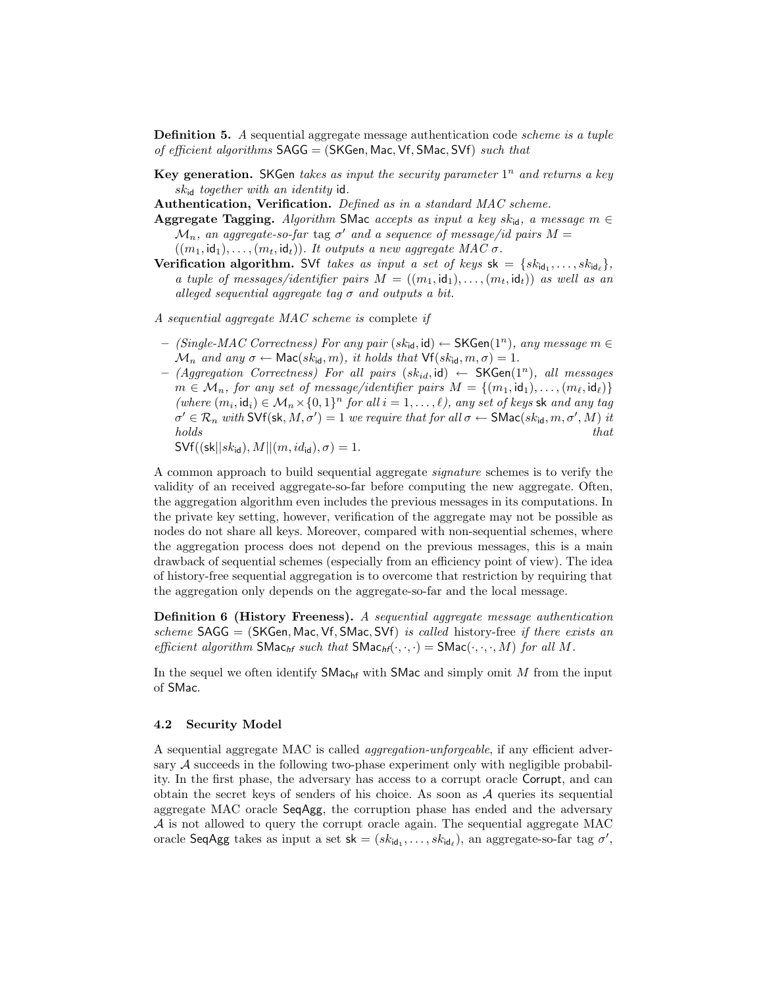Definition 5. A sequential aggregate message authentication code scheme is a tuple of efficient algorithms  $SAGG = (SKGen, Mac, Vf, SMac, SVf)$  such that

- Key generation. SKGen takes as input the security parameter  $1<sup>n</sup>$  and returns a key  $sk_{\mathsf{id}}$  together with an identity id.
- Authentication, Verification. Defined as in a standard MAC scheme.
- Aggregate Tagging. Algorithm SMac accepts as input a key sk<sub>id</sub>, a message  $m \in$  $\mathcal{M}_n$ , an aggregate-so-far tag  $\sigma'$  and a sequence of message/id pairs  $M =$  $((m_1, id_1), \ldots, (m_t, id_t))$ . It outputs a new aggregate MAC  $\sigma$ .
- Verification algorithm. SVf takes as input a set of keys  $\mathsf{sk} = \{sk_{\mathsf{id}_1}, \ldots, sk_{\mathsf{id}_\ell}\},\$ a tuple of messages/identifier pairs  $M = ((m_1, id_1), \ldots, (m_t, id_t))$  as well as an alleged sequential aggregate tag  $\sigma$  and outputs a bit.

A sequential aggregate MAC scheme is complete if

- (Single-MAC Correctness) For any pair (sk<sub>id</sub>, id) ← SKGen(1<sup>n</sup>), any message m  $\in$  $\mathcal{M}_n$  and any  $\sigma \leftarrow \text{Mac}(sk_{\text{id}}, m)$ , it holds that  $\text{Vf}(sk_{\text{id}}, m, \sigma) = 1$ .
- $-$  (Aggregation Correctness) For all pairs (sk<sub>id</sub>, id)  $\leftarrow$  SKGen(1<sup>n</sup>), all messages  $m \in \mathcal{M}_n$ , for any set of message/identifier pairs  $M = \{(m_1, id_1), \ldots, (m_\ell, id_\ell)\}\$ (where  $(m_i, id_i) \in \mathcal{M}_n \times \{0, 1\}^n$  for all  $i = 1, ..., \ell$ ), any set of keys sk and any tag  $\sigma' \in \mathcal{R}_n$  with SVf(sk,  $M, \sigma') = 1$  we require that for all  $\sigma \leftarrow \mathsf{SMac}(sk_{\mathsf{id}}, m, \sigma', M)$  it  $holds$  that the set of  $that$  $\mathsf{SVf}((\mathsf{sk}||sk_{\mathsf{id}}), M||(m, id_{\mathsf{id}}), \sigma) = 1.$

A common approach to build sequential aggregate signature schemes is to verify the validity of an received aggregate-so-far before computing the new aggregate. Often, the aggregation algorithm even includes the previous messages in its computations. In the private key setting, however, verification of the aggregate may not be possible as nodes do not share all keys. Moreover, compared with non-sequential schemes, where the aggregation process does not depend on the previous messages, this is a main drawback of sequential schemes (especially from an efficiency point of view). The idea of history-free sequential aggregation is to overcome that restriction by requiring that the aggregation only depends on the aggregate-so-far and the local message.

Definition 6 (History Freeness). A sequential aggregate message authentication scheme  $SAGG = (SKGen, Mac, Vf, SMac, SVf)$  is called history-free if there exists an efficient algorithm  $\mathsf{SMac}_{\mathsf{hf}}$  such that  $\mathsf{SMac}_{\mathsf{hf}}(\cdot, \cdot, \cdot) = \mathsf{SMac}(\cdot, \cdot, \cdot, M)$  for all M.

In the sequel we often identify  $SMac<sub>hf</sub>$  with SMac and simply omit M from the input of SMac.

#### 4.2 Security Model

A sequential aggregate MAC is called aggregation-unforgeable, if any efficient adversary A succeeds in the following two-phase experiment only with negligible probability. In the first phase, the adversary has access to a corrupt oracle Corrupt, and can obtain the secret keys of senders of his choice. As soon as  $A$  queries its sequential aggregate MAC oracle SeqAgg, the corruption phase has ended and the adversary A is not allowed to query the corrupt oracle again. The sequential aggregate MAC oracle SeqAgg takes as input a set  $sk = (sk_{id_1}, \ldots, sk_{id_\ell})$ , an aggregate-so-far tag  $\sigma'$ ,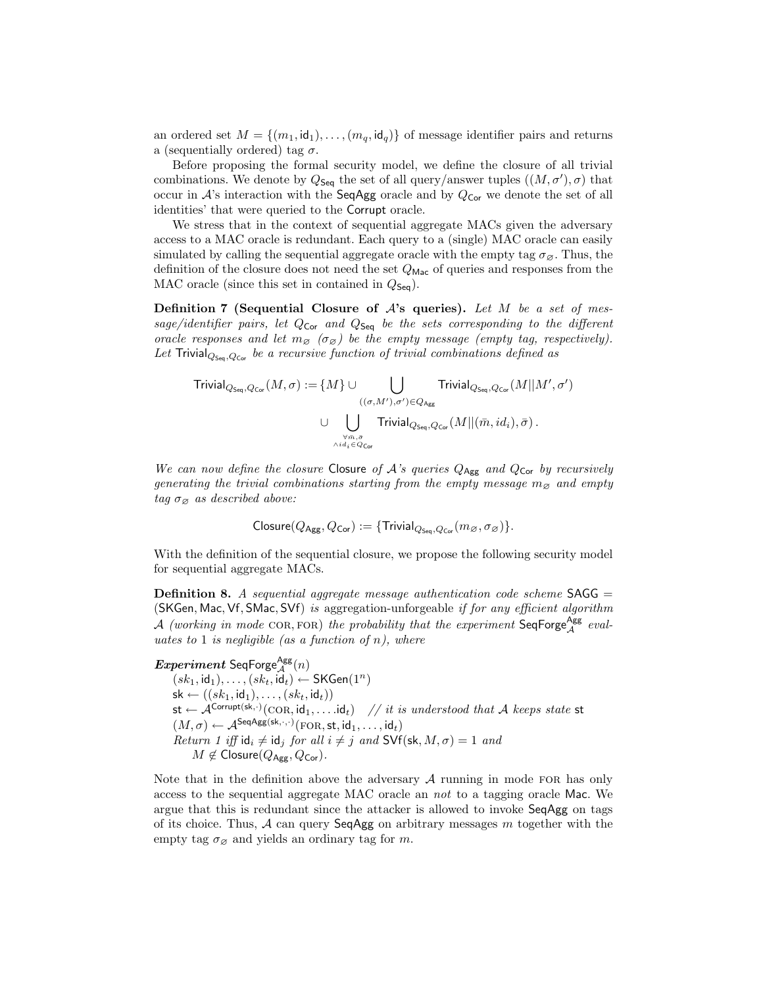an ordered set  $M = \{(m_1, id_1), \ldots, (m_q, id_q)\}\$  of message identifier pairs and returns a (sequentially ordered) tag  $\sigma$ .

Before proposing the formal security model, we define the closure of all trivial combinations. We denote by  $Q_{\mathsf{Seq}}$  the set of all query/answer tuples  $((M, \sigma'), \sigma)$  that occur in  $A$ 's interaction with the SeqAgg oracle and by  $Q_{\text{Cor}}$  we denote the set of all identities' that were queried to the Corrupt oracle.

We stress that in the context of sequential aggregate MACs given the adversary access to a MAC oracle is redundant. Each query to a (single) MAC oracle can easily simulated by calling the sequential aggregate oracle with the empty tag  $\sigma_{\varnothing}$ . Thus, the definition of the closure does not need the set  $Q_{\text{Mac}}$  of queries and responses from the MAC oracle (since this set in contained in  $Q_{\mathsf{Seq}}$ ).

Definition 7 (Sequential Closure of  $A$ 's queries). Let M be a set of message/identifier pairs, let  $Q_{\text{Cor}}$  and  $Q_{\text{Seq}}$  be the sets corresponding to the different oracle responses and let  $m_{\emptyset}$  ( $\sigma_{\emptyset}$ ) be the empty message (empty tag, respectively). Let Trivial<sub>Q<sub>Seq</sub>, $Q_{\text{Cor}}$  be a recursive function of trivial combinations defined as</sub>

$$
\text{Trivial}_{Q_{\text{Seq}}, Q_{\text{Cor}}}(M, \sigma) := \{M\} \cup \bigcup_{\substack{((\sigma, M'), \sigma') \in Q_{\text{Agg}} \\ \bigcup\limits_{\substack{\forall \bar{m}, \bar{\sigma} \\ \land id_i \in Q_{\text{Cor}}}} \text{Trivial}_{Q_{\text{Seq}}, Q_{\text{Cor}}}(M || (\bar{m}, id_i), \bar{\sigma} )\,. }
$$

We can now define the closure Closure of A's queries  $Q_{\text{Agg}}$  and  $Q_{\text{Cor}}$  by recursively generating the trivial combinations starting from the empty message  $m_{\varnothing}$  and empty tag  $\sigma_{\varnothing}$  as described above:

$$
\mathsf{Closure}(Q_{\mathsf{Agg}},Q_{\mathsf{Cor}}):=\{\mathsf{Trivial}_{Q_{\mathsf{Seq}},Q_{\mathsf{Cor}}}(m_{\varnothing},\sigma_{\varnothing})\}.
$$

With the definition of the sequential closure, we propose the following security model for sequential aggregate MACs.

**Definition 8.** A sequential aggregate message authentication code scheme  $SAGG =$ (SKGen, Mac, Vf, SMac, SVf) is aggregation-unforgeable if for any efficient algorithm  $\mathcal A$  (working in mode COR, FOR) the probability that the experiment  $\mathsf{SeqForge}_{\mathcal A}^{\mathsf{Agg}}$  evaluates to 1 is negligible (as a function of  $n$ ), where

# $\boldsymbol{Experiment}$  SeqForge ${}_{\mathcal{A}}^{\mathsf{Agg}}(n)$

 $(sk_1, id_1), \ldots, (sk_t, id_t) \leftarrow \mathsf{SKGen}(1^n)$  $\mathsf{sk} \leftarrow ((sk_1, \mathsf{id}_1), \ldots, (sk_t, \mathsf{id}_t))$  $\mathsf{st} \leftarrow \mathcal{A}^{\mathsf{Corrupt}(\mathsf{sk}, \cdot)}(\mathrm{COR}, \mathsf{id}_1, \ldots, \mathsf{id}_t) \quad \textit{// it is understood that } \mathcal{A} \textit{ keeps state } \mathsf{st}$  $(M,\sigma)\leftarrow \mathcal{A}^{\mathsf{SeqAgg}(\mathsf{sk},\cdot,\cdot)}(\textsf{FOR},\mathsf{st},\mathsf{id}_1,\ldots,\mathsf{id}_t)$ Return 1 iff  $id_i \neq id_j$  for all  $i \neq j$  and  $SVf(sk, M, \sigma) = 1$  and  $M \notin \mathsf{Closure}(Q_{\mathsf{Agg}}, Q_{\mathsf{Cor}}).$ 

Note that in the definition above the adversary  $A$  running in mode FOR has only access to the sequential aggregate MAC oracle an not to a tagging oracle Mac. We argue that this is redundant since the attacker is allowed to invoke SeqAgg on tags of its choice. Thus,  $A$  can query  $\mathsf{SeqAgg}$  on arbitrary messages m together with the empty tag  $\sigma_{\varnothing}$  and yields an ordinary tag for m.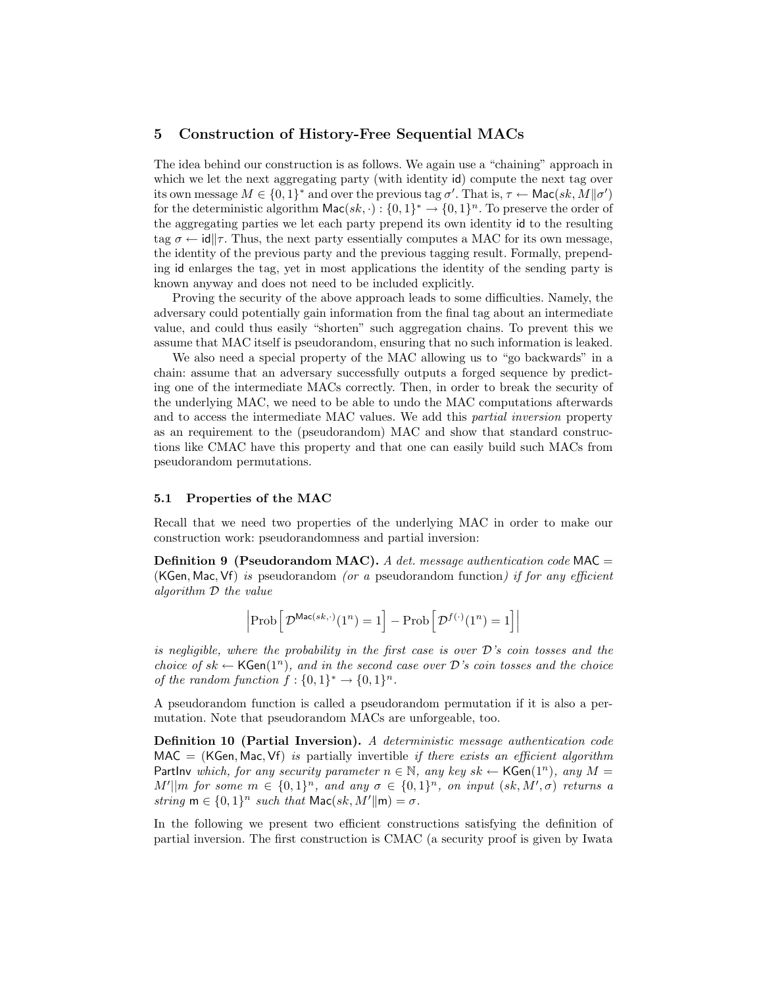#### 5 Construction of History-Free Sequential MACs

The idea behind our construction is as follows. We again use a "chaining" approach in which we let the next aggregating party (with identity id) compute the next tag over its own message  $M \in \{0,1\}^*$  and over the previous tag  $\sigma'$ . That is,  $\tau \leftarrow \mathsf{Mac}(sk, M||\sigma')$ for the deterministic algorithm  $\textsf{Mac}(sk, \cdot) : \{0, 1\}^* \to \{0, 1\}^n$ . To preserve the order of the aggregating parties we let each party prepend its own identity id to the resulting tag  $\sigma \leftarrow \text{id} || \tau$ . Thus, the next party essentially computes a MAC for its own message, the identity of the previous party and the previous tagging result. Formally, prepending id enlarges the tag, yet in most applications the identity of the sending party is known anyway and does not need to be included explicitly.

Proving the security of the above approach leads to some difficulties. Namely, the adversary could potentially gain information from the final tag about an intermediate value, and could thus easily "shorten" such aggregation chains. To prevent this we assume that MAC itself is pseudorandom, ensuring that no such information is leaked.

We also need a special property of the MAC allowing us to "go backwards" in a chain: assume that an adversary successfully outputs a forged sequence by predicting one of the intermediate MACs correctly. Then, in order to break the security of the underlying MAC, we need to be able to undo the MAC computations afterwards and to access the intermediate MAC values. We add this partial inversion property as an requirement to the (pseudorandom) MAC and show that standard constructions like CMAC have this property and that one can easily build such MACs from pseudorandom permutations.

#### 5.1 Properties of the MAC

Recall that we need two properties of the underlying MAC in order to make our construction work: pseudorandomness and partial inversion:

**Definition 9 (Pseudorandom MAC).** A det. message authentication code MAC = (KGen, Mac, Vf) is pseudorandom (or a pseudorandom function) if for any efficient algorithm D the value

$$
\left|\text{Prob}\left[\mathcal{D}^{\text{Mac}(sk,\cdot)}(1^n) = 1\right] - \text{Prob}\left[\mathcal{D}^{f(\cdot)}(1^n) = 1\right]\right|
$$

is negligible, where the probability in the first case is over  $D$ 's coin tosses and the choice of  $sk \leftarrow \mathsf{KGen}(1^n)$ , and in the second case over  $\mathcal{D}'s$  coin tosses and the choice of the random function  $f: \{0,1\}^* \to \{0,1\}^n$ .

A pseudorandom function is called a pseudorandom permutation if it is also a permutation. Note that pseudorandom MACs are unforgeable, too.

Definition 10 (Partial Inversion). A deterministic message authentication code  $MAC = (KGen, Mac, Vf)$  is partially invertible if there exists an efficient algorithm PartInv which, for any security parameter  $n \in \mathbb{N}$ , any key sk  $\leftarrow$  KGen(1<sup>n</sup>), any  $M =$ M'||m for some  $m \in \{0,1\}^n$ , and any  $\sigma \in \{0,1\}^n$ , on input  $(sk, M', \sigma)$  returns a string  $m \in \{0,1\}^n$  such that  $\textsf{Mac}(sk, M' \parallel m) = \sigma$ .

In the following we present two efficient constructions satisfying the definition of partial inversion. The first construction is CMAC (a security proof is given by Iwata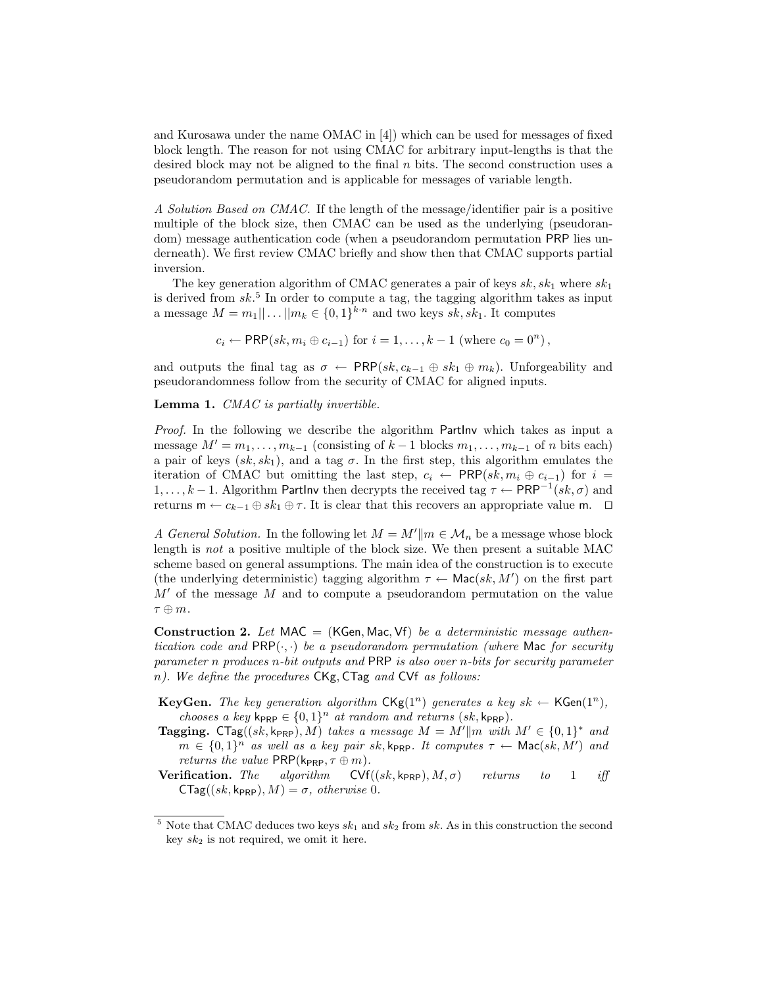and Kurosawa under the name OMAC in [4]) which can be used for messages of fixed block length. The reason for not using CMAC for arbitrary input-lengths is that the desired block may not be aligned to the final  $n$  bits. The second construction uses a pseudorandom permutation and is applicable for messages of variable length.

A Solution Based on CMAC. If the length of the message/identifier pair is a positive multiple of the block size, then CMAC can be used as the underlying (pseudorandom) message authentication code (when a pseudorandom permutation PRP lies underneath). We first review CMAC briefly and show then that CMAC supports partial inversion.

The key generation algorithm of CMAC generates a pair of keys  $sk, sk_1$  where  $sk_1$ is derived from  $sk$ <sup>5</sup>. In order to compute a tag, the tagging algorithm takes as input a message  $M = m_1 || \dots || m_k \in \{0,1\}^{k \cdot n}$  and two keys  $sk, sk_1$ . It computes

 $c_i \leftarrow \text{PRP}(sk, m_i \oplus c_{i-1})$  for  $i = 1, \ldots, k-1$  (where  $c_0 = 0^n$ ),

and outputs the final tag as  $\sigma$  ← PRP(sk,  $c_{k-1} \oplus sk_1 \oplus m_k$ ). Unforgeability and pseudorandomness follow from the security of CMAC for aligned inputs.

Lemma 1. CMAC is partially invertible.

Proof. In the following we describe the algorithm PartInv which takes as input a message  $M' = m_1, \ldots, m_{k-1}$  (consisting of  $k-1$  blocks  $m_1, \ldots, m_{k-1}$  of n bits each) a pair of keys  $(s, k, sk_1)$ , and a tag  $\sigma$ . In the first step, this algorithm emulates the iteration of CMAC but omitting the last step,  $c_i \leftarrow PRP(sk, m_i \oplus c_{i-1})$  for  $i =$ 1,..., k − 1. Algorithm Partlnv then decrypts the received tag  $τ$  ← PRP<sup>-1</sup>(sk, σ) and returns  $m \leftarrow c_{k-1} \oplus sk_1 \oplus \tau$ . It is clear that this recovers an appropriate value m.  $\square$ 

A General Solution. In the following let  $M = M' || m \in \mathcal{M}_n$  be a message whose block length is not a positive multiple of the block size. We then present a suitable MAC scheme based on general assumptions. The main idea of the construction is to execute (the underlying deterministic) tagging algorithm  $\tau \leftarrow \textsf{Mac}(sk, M')$  on the first part  $M'$  of the message M and to compute a pseudorandom permutation on the value  $\tau \oplus m$ .

**Construction 2.** Let MAC = (KGen, Mac, Vf) be a deterministic message authentication code and  $PRP(\cdot, \cdot)$  be a pseudorandom permutation (where Mac for security parameter n produces n-bit outputs and PRP is also over n-bits for security parameter n). We define the procedures CKg, CTag and CVf as follows:

- **KeyGen.** The key generation algorithm  $CKg(1^n)$  generates a key sk  $\leftarrow$  KGen $(1^n)$ , chooses a key k<sub>PRP</sub>  $\in \{0,1\}^n$  at random and returns  $(sk, k_{\text{PRP}})$ .
- **Tagging.** CTag((sk, k<sub>PRP</sub>), M) takes a message  $M = M' || m$  with  $M' \in \{0, 1\}^*$  and  $m \in \{0,1\}^n$  as well as a key pair sk, k<sub>PRP</sub>. It computes  $\tau \leftarrow \text{Mac}(sk, M')$  and returns the value  $PRP(k_{PRP}, \tau \oplus m)$ .

**Verification.** The algorithm  $CVf((sk, k_{PRP}), M, \sigma)$  returns to 1 iff  $CTag((sk, k_{PRP}), M) = \sigma$ , otherwise 0.

<sup>&</sup>lt;sup>5</sup> Note that CMAC deduces two keys  $sk_1$  and  $sk_2$  from  $sk$ . As in this construction the second key  $sk_2$  is not required, we omit it here.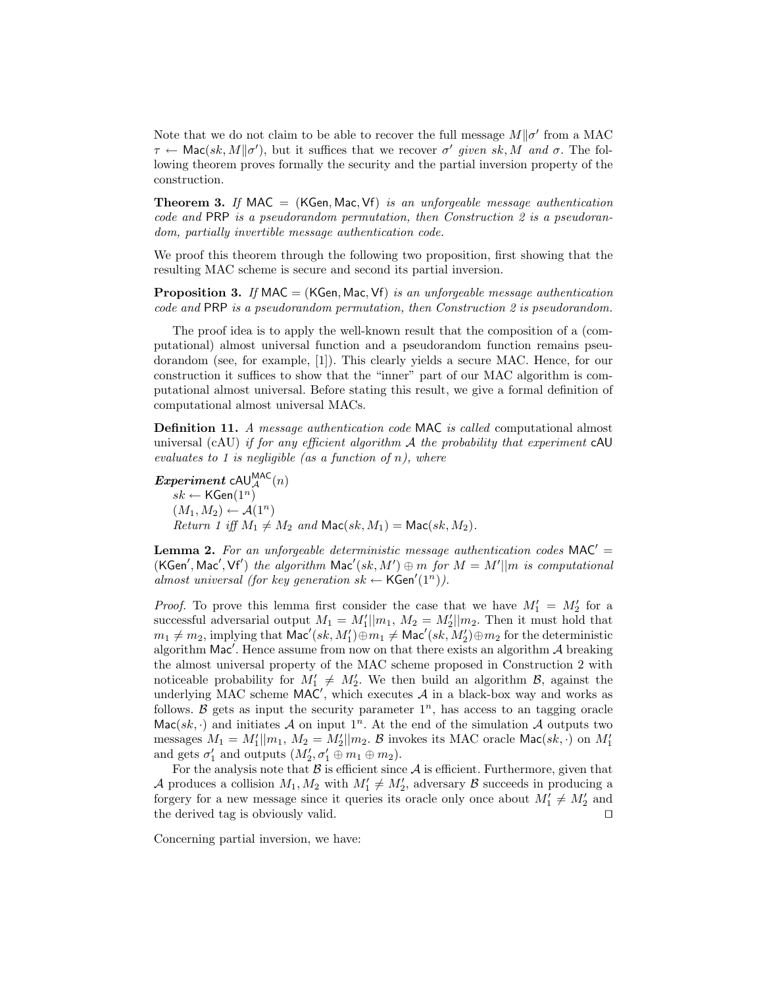Note that we do not claim to be able to recover the full message  $M||\sigma'$  from a MAC  $\tau \leftarrow \text{Mac}(sk, M||\sigma')$ , but it suffices that we recover  $\sigma'$  given sk, M and  $\sigma$ . The following theorem proves formally the security and the partial inversion property of the construction.

**Theorem 3.** If MAC = (KGen, Mac, Vf) is an unforgeable message authentication code and PRP is a pseudorandom permutation, then Construction 2 is a pseudorandom, partially invertible message authentication code.

We proof this theorem through the following two proposition, first showing that the resulting MAC scheme is secure and second its partial inversion.

**Proposition 3.** If MAC = (KGen, Mac, Vf) is an unforgeable message authentication code and PRP is a pseudorandom permutation, then Construction 2 is pseudorandom.

The proof idea is to apply the well-known result that the composition of a (computational) almost universal function and a pseudorandom function remains pseudorandom (see, for example, [1]). This clearly yields a secure MAC. Hence, for our construction it suffices to show that the "inner" part of our MAC algorithm is computational almost universal. Before stating this result, we give a formal definition of computational almost universal MACs.

Definition 11. A message authentication code MAC is called computational almost universal (cAU) if for any efficient algorithm  $\mathcal A$  the probability that experiment  $cAU$ evaluates to 1 is negligible (as a function of  $n$ ), where

 $\boldsymbol{Experiment}\ \boldsymbol{\mathsf{cAU}}_{\mathcal{A}}^{\boldsymbol{\mathsf{MAC}}}(n)$  $s_k \leftarrow \mathsf{KGen}(1^n)$  $(M_1, M_2) \leftarrow \mathcal{A}(1^n)$ Return 1 iff  $M_1 \neq M_2$  and  $\textsf{Mac}(sk, M_1) = \textsf{Mac}(sk, M_2)$ .

**Lemma 2.** For an unforgeable deterministic message authentication codes  $MAC'$  $(KGen', Mac', Vf')$  the algorithm  $Mac'(sk, M') \oplus m$  for  $M = M'||m$  is computational almost universal (for key generation  $sk \leftarrow \mathsf{KGen}'(1^n)$ ).

*Proof.* To prove this lemma first consider the case that we have  $M'_1 = M'_2$  for a successful adversarial output  $M_1 = M_1' || m_1, M_2 = M_2' || m_2$ . Then it must hold that  $m_1\neq m_2,$  implying that  $\mathsf{Mac}'(sk, M_1')\oplus m_1\neq \mathsf{Mac}'(sk, M_2')\oplus m_2$  for the deterministic algorithm Mac'. Hence assume from now on that there exists an algorithm  $A$  breaking the almost universal property of the MAC scheme proposed in Construction 2 with noticeable probability for  $M_1 \neq M_2'$ . We then build an algorithm  $\mathcal{B}$ , against the underlying MAC scheme  $MAC',$  which executes  $A$  in a black-box way and works as follows. B gets as input the security parameter  $1^n$ , has access to an tagging oracle  $\textsf{Mac}(sk, \cdot)$  and initiates A on input 1<sup>n</sup>. At the end of the simulation A outputs two messages  $M_1 = M_1'||m_1$ ,  $M_2 = M_2'||m_2$ . B invokes its MAC oracle Mac(sk, ·) on  $M_1'$ and gets  $\sigma'_1$  and outputs  $(M'_2, \sigma'_1 \oplus m_1 \oplus m_2)$ .

For the analysis note that  $\mathcal B$  is efficient since  $\mathcal A$  is efficient. Furthermore, given that A produces a collision  $M_1, M_2$  with  $M'_1 \neq M'_2$ , adversary B succeeds in producing a forgery for a new message since it queries its oracle only once about  $M'_1 \neq M'_2$  and the derived tag is obviously valid.  $\square$ 

Concerning partial inversion, we have: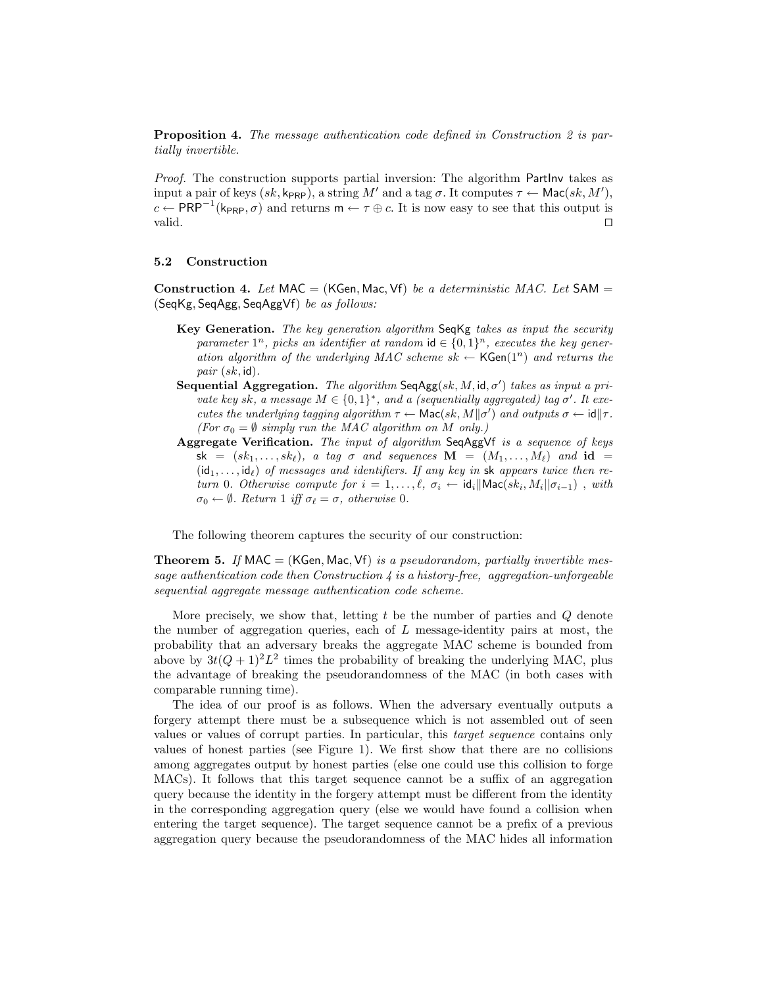Proposition 4. The message authentication code defined in Construction 2 is partially invertible.

Proof. The construction supports partial inversion: The algorithm PartInv takes as input a pair of keys  $(sk, k_{PRP})$ , a string  $M'$  and a tag  $\sigma$ . It computes  $\tau \leftarrow \mathsf{Mac}(sk, M')$ ,  $c \leftarrow \textsf{PRP}^{-1}(k_{\textsf{PRP}}, \sigma)$  and returns  $m \leftarrow \tau \oplus c$ . It is now easy to see that this output is valid.  $\square$ 

#### 5.2 Construction

Construction 4. Let MAC = (KGen, Mac, Vf) be a deterministic MAC. Let SAM = (SeqKg, SeqAgg, SeqAggVf) be as follows:

- Key Generation. The key generation algorithm SeqKg takes as input the security parameter  $1^n$ , picks an identifier at random  $id \in \{0,1\}^n$ , executes the key generation algorithm of the underlying MAC scheme  $sk \leftarrow \mathsf{KGen}(1^n)$  and returns the pair  $(sk, id)$ .
- Sequential Aggregation. The algorithm SeqAgg(sk, M, id,  $\sigma'$ ) takes as input a private key sk, a message  $M \in \{0,1\}^*$ , and a (sequentially aggregated) tag  $\sigma'$ . It executes the underlying tagging algorithm  $\tau \leftarrow \text{Mac}(sk, M || \sigma')$  and outputs  $\sigma \leftarrow \text{id} || \tau$ . (For  $\sigma_0 = \emptyset$  simply run the MAC algorithm on M only.)
- Aggregate Verification. The input of algorithm SeqAggVf is a sequence of keys  $sk = (sk_1, \ldots, sk_\ell), \ a \ tag \ \sigma \ and \ sequences \ \mathbf{M} = (M_1, \ldots, M_\ell) \ and \ id \ =$  $(id_1, \ldots, id_\ell)$  of messages and identifiers. If any key in sk appears twice then return 0. Otherwise compute for  $i = 1, \ldots, \ell, \sigma_i \leftarrow id_i \|\text{Mac}(sk_i, M_i||\sigma_{i-1})$ , with  $\sigma_0 \leftarrow \emptyset$ . Return 1 iff  $\sigma_\ell = \sigma$ , otherwise 0.

The following theorem captures the security of our construction:

**Theorem 5.** If MAC = (KGen, Mac, Vf) is a pseudorandom, partially invertible message authentication code then Construction  $\lambda$  is a history-free, aggregation-unforgeable sequential aggregate message authentication code scheme.

More precisely, we show that, letting  $t$  be the number of parties and  $Q$  denote the number of aggregation queries, each of  $L$  message-identity pairs at most, the probability that an adversary breaks the aggregate MAC scheme is bounded from above by  $3t(Q+1)^2L^2$  times the probability of breaking the underlying MAC, plus the advantage of breaking the pseudorandomness of the MAC (in both cases with comparable running time).

The idea of our proof is as follows. When the adversary eventually outputs a forgery attempt there must be a subsequence which is not assembled out of seen values or values of corrupt parties. In particular, this target sequence contains only values of honest parties (see Figure 1). We first show that there are no collisions among aggregates output by honest parties (else one could use this collision to forge MACs). It follows that this target sequence cannot be a suffix of an aggregation query because the identity in the forgery attempt must be different from the identity in the corresponding aggregation query (else we would have found a collision when entering the target sequence). The target sequence cannot be a prefix of a previous aggregation query because the pseudorandomness of the MAC hides all information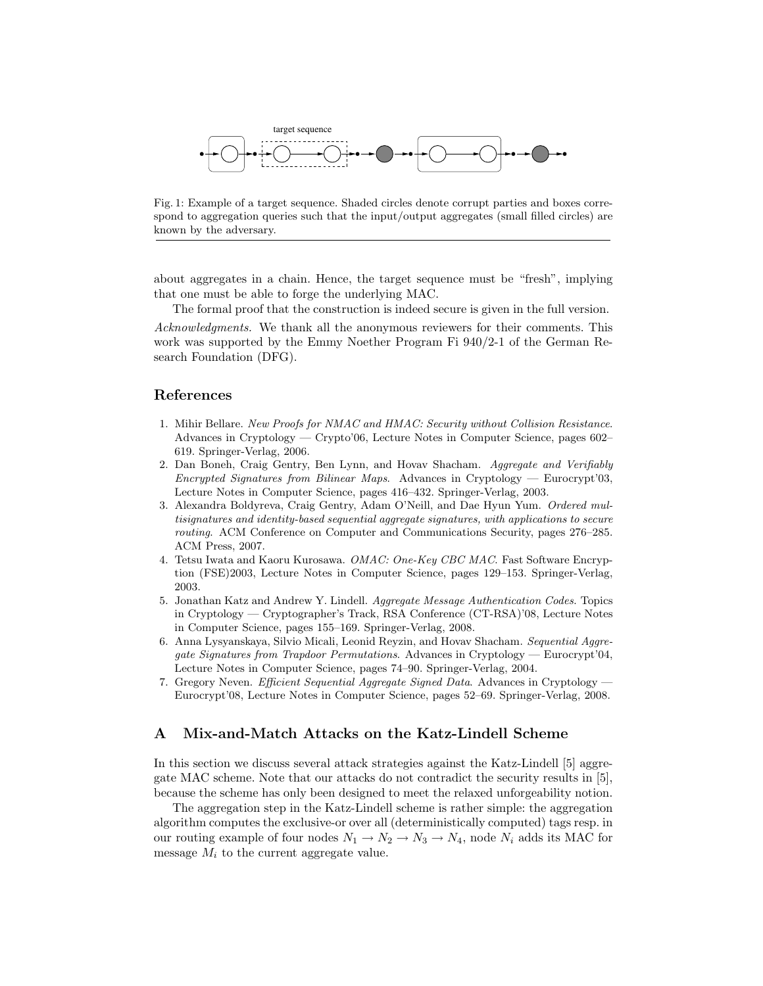

Fig. 1: Example of a target sequence. Shaded circles denote corrupt parties and boxes correspond to aggregation queries such that the input/output aggregates (small filled circles) are known by the adversary.

about aggregates in a chain. Hence, the target sequence must be "fresh", implying that one must be able to forge the underlying MAC.

The formal proof that the construction is indeed secure is given in the full version.

Acknowledgments. We thank all the anonymous reviewers for their comments. This work was supported by the Emmy Noether Program Fi 940/2-1 of the German Research Foundation (DFG).

### References

- 1. Mihir Bellare. New Proofs for NMAC and HMAC: Security without Collision Resistance. Advances in Cryptology — Crypto'06, Lecture Notes in Computer Science, pages 602– 619. Springer-Verlag, 2006.
- 2. Dan Boneh, Craig Gentry, Ben Lynn, and Hovav Shacham. Aggregate and Verifiably Encrypted Signatures from Bilinear Maps. Advances in Cryptology — Eurocrypt'03, Lecture Notes in Computer Science, pages 416–432. Springer-Verlag, 2003.
- 3. Alexandra Boldyreva, Craig Gentry, Adam O'Neill, and Dae Hyun Yum. Ordered multisignatures and identity-based sequential aggregate signatures, with applications to secure routing. ACM Conference on Computer and Communications Security, pages 276–285. ACM Press, 2007.
- 4. Tetsu Iwata and Kaoru Kurosawa. OMAC: One-Key CBC MAC. Fast Software Encryption (FSE)2003, Lecture Notes in Computer Science, pages 129–153. Springer-Verlag, 2003.
- 5. Jonathan Katz and Andrew Y. Lindell. Aggregate Message Authentication Codes. Topics in Cryptology — Cryptographer's Track, RSA Conference (CT-RSA)'08, Lecture Notes in Computer Science, pages 155–169. Springer-Verlag, 2008.
- 6. Anna Lysyanskaya, Silvio Micali, Leonid Reyzin, and Hovav Shacham. Sequential Aggregate Signatures from Trapdoor Permutations. Advances in Cryptology — Eurocrypt'04, Lecture Notes in Computer Science, pages 74–90. Springer-Verlag, 2004.
- 7. Gregory Neven. Efficient Sequential Aggregate Signed Data. Advances in Cryptology Eurocrypt'08, Lecture Notes in Computer Science, pages 52–69. Springer-Verlag, 2008.

# A Mix-and-Match Attacks on the Katz-Lindell Scheme

In this section we discuss several attack strategies against the Katz-Lindell [5] aggregate MAC scheme. Note that our attacks do not contradict the security results in [5], because the scheme has only been designed to meet the relaxed unforgeability notion.

The aggregation step in the Katz-Lindell scheme is rather simple: the aggregation algorithm computes the exclusive-or over all (deterministically computed) tags resp. in our routing example of four nodes  $N_1 \rightarrow N_2 \rightarrow N_3 \rightarrow N_4$ , node  $N_i$  adds its MAC for message  $M_i$  to the current aggregate value.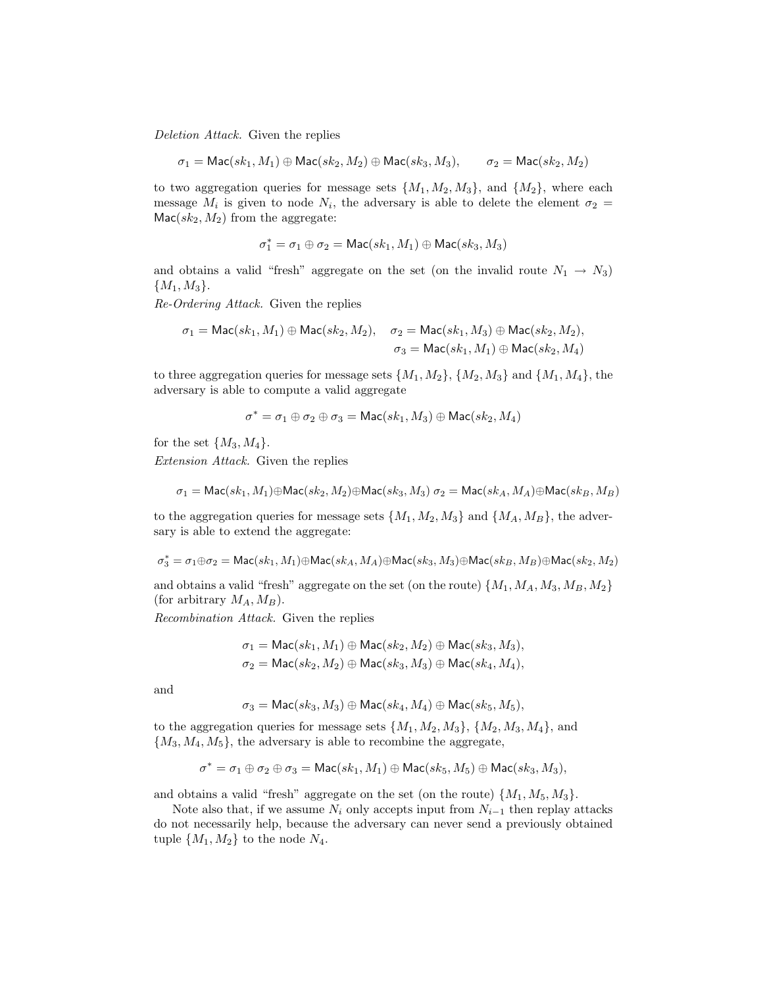Deletion Attack. Given the replies

$$
\sigma_1 = \textsf{Mac}(sk_1, M_1) \oplus \textsf{Mac}(sk_2, M_2) \oplus \textsf{Mac}(sk_3, M_3), \qquad \sigma_2 = \textsf{Mac}(sk_2, M_2)
$$

to two aggregation queries for message sets  $\{M_1, M_2, M_3\}$ , and  $\{M_2\}$ , where each message  $M_i$  is given to node  $N_i$ , the adversary is able to delete the element  $\sigma_2$  $Mac(sk<sub>2</sub>, M<sub>2</sub>)$  from the aggregate:

$$
\sigma_1^*=\sigma_1\oplus\sigma_2=\mathsf{Mac}(sk_1,M_1)\oplus\mathsf{Mac}(sk_3,M_3)
$$

and obtains a valid "fresh" aggregate on the set (on the invalid route  $N_1 \rightarrow N_3$ )  ${M_1, M_3}.$ 

Re-Ordering Attack. Given the replies

$$
\sigma_1 = \textsf{Mac}(sk_1, M_1) \oplus \textsf{Mac}(sk_2, M_2), \quad \sigma_2 = \textsf{Mac}(sk_1, M_3) \oplus \textsf{Mac}(sk_2, M_2), \\ \sigma_3 = \textsf{Mac}(sk_1, M_1) \oplus \textsf{Mac}(sk_2, M_4)
$$

to three aggregation queries for message sets  $\{M_1, M_2\}$ ,  $\{M_2, M_3\}$  and  $\{M_1, M_4\}$ , the adversary is able to compute a valid aggregate

$$
\sigma^* = \sigma_1 \oplus \sigma_2 \oplus \sigma_3 = \text{Mac}(sk_1, M_3) \oplus \text{Mac}(sk_2, M_4)
$$

for the set  $\{M_3, M_4\}.$ 

Extension Attack. Given the replies

 $\sigma_1 = \textsf{Mac}(sk_1, M_1) \oplus \textsf{Mac}(sk_2, M_2) \oplus \textsf{Mac}(sk_3, M_3)$   $\sigma_2 = \textsf{Mac}(sk_A, M_A) \oplus \textsf{Mac}(sk_B, M_B)$ 

to the aggregation queries for message sets  $\{M_1, M_2, M_3\}$  and  $\{M_A, M_B\}$ , the adversary is able to extend the aggregate:

$$
\sigma_3^*=\sigma_1\oplus\sigma_2=\mathsf{Mac}(sk_1,M_1)\oplus\mathsf{Mac}(sk_A,M_A)\oplus\mathsf{Mac}(sk_3,M_3)\oplus\mathsf{Mac}(sk_B,M_B)\oplus\mathsf{Mac}(sk_2,M_2)
$$

and obtains a valid "fresh" aggregate on the set (on the route)  $\{M_1, M_A, M_3, M_B, M_2\}$ (for arbitrary  $M_A, M_B$ ).

Recombination Attack. Given the replies

$$
\begin{aligned} \sigma_1 &= \mathsf{Mac}(sk_1, M_1) \oplus \mathsf{Mac}(sk_2, M_2) \oplus \mathsf{Mac}(sk_3, M_3), \\ \sigma_2 &= \mathsf{Mac}(sk_2, M_2) \oplus \mathsf{Mac}(sk_3, M_3) \oplus \mathsf{Mac}(sk_4, M_4), \end{aligned}
$$

and

$$
\sigma_3 = \text{Mac}(sk_3, M_3) \oplus \text{Mac}(sk_4, M_4) \oplus \text{Mac}(sk_5, M_5),
$$

to the aggregation queries for message sets  $\{M_1, M_2, M_3\}$ ,  $\{M_2, M_3, M_4\}$ , and  ${M_3, M_4, M_5}$ , the adversary is able to recombine the aggregate,

$$
\sigma^*=\sigma_1\oplus\sigma_2\oplus\sigma_3=\mathsf{Mac}(sk_1,M_1)\oplus\mathsf{Mac}(sk_5,M_5)\oplus\mathsf{Mac}(sk_3,M_3),
$$

and obtains a valid "fresh" aggregate on the set (on the route)  $\{M_1, M_5, M_3\}$ .

Note also that, if we assume  $N_i$  only accepts input from  $N_{i-1}$  then replay attacks do not necessarily help, because the adversary can never send a previously obtained tuple  $\{M_1, M_2\}$  to the node  $N_4$ .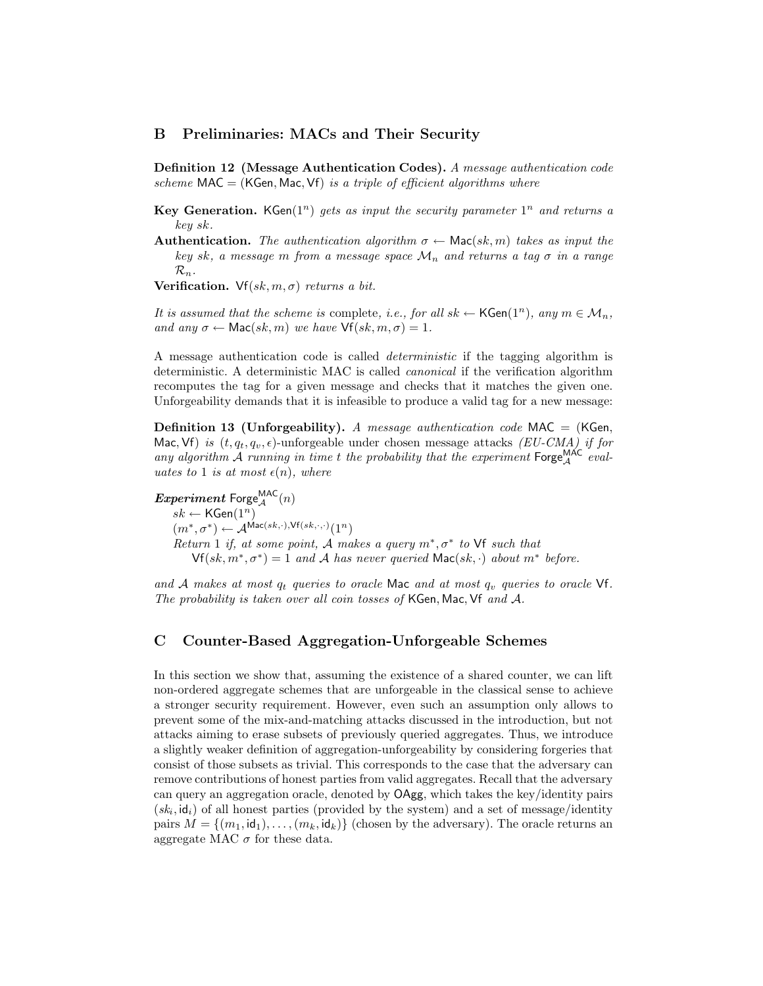### B Preliminaries: MACs and Their Security

Definition 12 (Message Authentication Codes). A message authentication code scheme  $MAC = (KGen, Mac, Vf)$  is a triple of efficient algorithms where

- Key Generation. KGen( $1^n$ ) gets as input the security parameter  $1^n$  and returns a key sk.
- **Authentication.** The authentication algorithm  $\sigma \leftarrow \text{Mac}(sk, m)$  takes as input the key sk, a message m from a message space  $\mathcal{M}_n$  and returns a tag  $\sigma$  in a range  $\mathcal{R}_n$ .

Verification.  $Vf(sk, m, \sigma)$  returns a bit.

It is assumed that the scheme is complete, i.e., for all  $sk \leftarrow \mathsf{KGen}(1^n)$ , any  $m \in \mathcal{M}_n$ , and any  $\sigma \leftarrow \text{Mac}(sk, m)$  we have  $\text{Vf}(sk, m, \sigma) = 1$ .

A message authentication code is called deterministic if the tagging algorithm is deterministic. A deterministic MAC is called canonical if the verification algorithm recomputes the tag for a given message and checks that it matches the given one. Unforgeability demands that it is infeasible to produce a valid tag for a new message:

**Definition 13 (Unforgeability).** A message authentication code MAC = (KGen, Mac, Vf) is  $(t, q_t, q_v, \epsilon)$ -unforgeable under chosen message attacks (EU-CMA) if for any algorithm  $\mathcal A$  running in time t the probability that the experiment  $\mathsf{Forge}_{\mathcal A}^{\mathsf{MAC}}$  evaluates to 1 is at most  $\epsilon(n)$ , where

 $\boldsymbol{Experiment}$  Forge $_{\mathcal{A}}^{\textsf{MAC}}(n)$  $sk \leftarrow \mathsf{KGen}(1^n)$  $(m^*, \sigma^*) \leftarrow \mathcal{A}^{\mathsf{Mac}(sk, \cdot), \mathsf{Vf}(sk, \cdot, \cdot)}(1^n)$ Return 1 if, at some point, A makes a query  $m^*$ ,  $\sigma^*$  to Vf such that  $\nabla f(sk, m^*, \sigma^*) = 1$  and A has never queried  $\text{Mac}(sk, \cdot)$  about  $m^*$  before.

and  $A$  makes at most  $q_t$  queries to oracle Mac and at most  $q_v$  queries to oracle Vf. The probability is taken over all coin tosses of KGen, Mac, Vf and A.

## C Counter-Based Aggregation-Unforgeable Schemes

In this section we show that, assuming the existence of a shared counter, we can lift non-ordered aggregate schemes that are unforgeable in the classical sense to achieve a stronger security requirement. However, even such an assumption only allows to prevent some of the mix-and-matching attacks discussed in the introduction, but not attacks aiming to erase subsets of previously queried aggregates. Thus, we introduce a slightly weaker definition of aggregation-unforgeability by considering forgeries that consist of those subsets as trivial. This corresponds to the case that the adversary can remove contributions of honest parties from valid aggregates. Recall that the adversary can query an aggregation oracle, denoted by OAgg, which takes the key/identity pairs  $(sk_i, id_i)$  of all honest parties (provided by the system) and a set of message/identity pairs  $M = \{(m_1, id_1), \ldots, (m_k, id_k)\}\$  (chosen by the adversary). The oracle returns an aggregate MAC  $\sigma$  for these data.